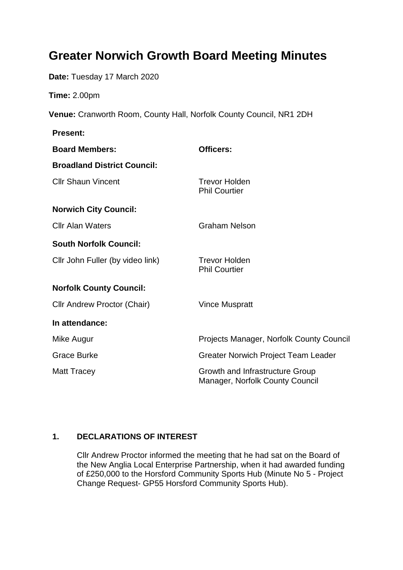# **Greater Norwich Growth Board Meeting Minutes**

**Date:** Tuesday 17 March 2020

**Time:** 2.00pm

**Venue:** Cranworth Room, County Hall, Norfolk County Council, NR1 2DH

| <b>Present:</b>                    |                                                                           |
|------------------------------------|---------------------------------------------------------------------------|
| <b>Board Members:</b>              | <b>Officers:</b>                                                          |
| <b>Broadland District Council:</b> |                                                                           |
| <b>Cllr Shaun Vincent</b>          | <b>Trevor Holden</b><br><b>Phil Courtier</b>                              |
| <b>Norwich City Council:</b>       |                                                                           |
| <b>Cllr Alan Waters</b>            | <b>Graham Nelson</b>                                                      |
| <b>South Norfolk Council:</b>      |                                                                           |
| Cllr John Fuller (by video link)   | <b>Trevor Holden</b><br><b>Phil Courtier</b>                              |
| <b>Norfolk County Council:</b>     |                                                                           |
| Cllr Andrew Proctor (Chair)        | <b>Vince Muspratt</b>                                                     |
| In attendance:                     |                                                                           |
| Mike Augur                         | Projects Manager, Norfolk County Council                                  |
| <b>Grace Burke</b>                 | <b>Greater Norwich Project Team Leader</b>                                |
| <b>Matt Tracey</b>                 | Growth and Infrastructure Group<br><b>Manager, Norfolk County Council</b> |

## **1. DECLARATIONS OF INTEREST**

Cllr Andrew Proctor informed the meeting that he had sat on the Board of the New Anglia Local Enterprise Partnership, when it had awarded funding of £250,000 to the Horsford Community Sports Hub (Minute No 5 - Project Change Request- GP55 Horsford Community Sports Hub).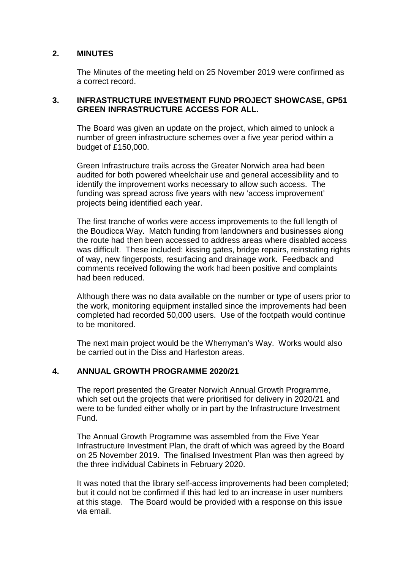### **2. MINUTES**

The Minutes of the meeting held on 25 November 2019 were confirmed as a correct record.

#### **3. INFRASTRUCTURE INVESTMENT FUND PROJECT SHOWCASE, GP51 GREEN INFRASTRUCTURE ACCESS FOR ALL.**

The Board was given an update on the project, which aimed to unlock a number of green infrastructure schemes over a five year period within a budget of £150,000.

Green Infrastructure trails across the Greater Norwich area had been audited for both powered wheelchair use and general accessibility and to identify the improvement works necessary to allow such access. The funding was spread across five years with new 'access improvement' projects being identified each year.

The first tranche of works were access improvements to the full length of the Boudicca Way. Match funding from landowners and businesses along the route had then been accessed to address areas where disabled access was difficult. These included: kissing gates, bridge repairs, reinstating rights of way, new fingerposts, resurfacing and drainage work. Feedback and comments received following the work had been positive and complaints had been reduced.

Although there was no data available on the number or type of users prior to the work, monitoring equipment installed since the improvements had been completed had recorded 50,000 users. Use of the footpath would continue to be monitored.

The next main project would be the Wherryman's Way. Works would also be carried out in the Diss and Harleston areas.

#### **4. ANNUAL GROWTH PROGRAMME 2020/21**

The report presented the Greater Norwich Annual Growth Programme, which set out the projects that were prioritised for delivery in 2020/21 and were to be funded either wholly or in part by the Infrastructure Investment Fund.

The Annual Growth Programme was assembled from the Five Year Infrastructure Investment Plan, the draft of which was agreed by the Board on 25 November 2019. The finalised Investment Plan was then agreed by the three individual Cabinets in February 2020.

It was noted that the library self-access improvements had been completed; but it could not be confirmed if this had led to an increase in user numbers at this stage. The Board would be provided with a response on this issue via email.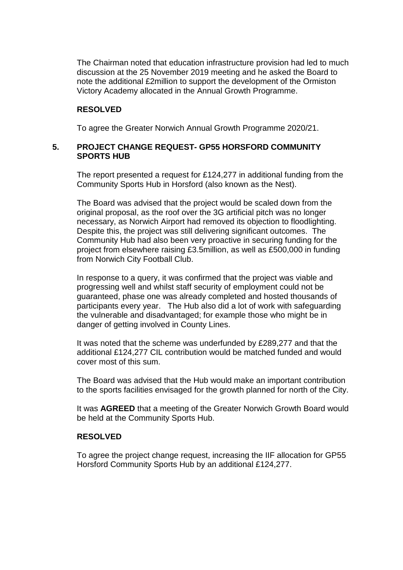The Chairman noted that education infrastructure provision had led to much discussion at the 25 November 2019 meeting and he asked the Board to note the additional £2million to support the development of the Ormiston Victory Academy allocated in the Annual Growth Programme.

#### **RESOLVED**

To agree the Greater Norwich Annual Growth Programme 2020/21.

#### **5. PROJECT CHANGE REQUEST- GP55 HORSFORD COMMUNITY SPORTS HUB**

The report presented a request for £124,277 in additional funding from the Community Sports Hub in Horsford (also known as the Nest).

The Board was advised that the project would be scaled down from the original proposal, as the roof over the 3G artificial pitch was no longer necessary, as Norwich Airport had removed its objection to floodlighting. Despite this, the project was still delivering significant outcomes. The Community Hub had also been very proactive in securing funding for the project from elsewhere raising £3.5million, as well as £500,000 in funding from Norwich City Football Club.

In response to a query, it was confirmed that the project was viable and progressing well and whilst staff security of employment could not be guaranteed, phase one was already completed and hosted thousands of participants every year. The Hub also did a lot of work with safeguarding the vulnerable and disadvantaged; for example those who might be in danger of getting involved in County Lines.

It was noted that the scheme was underfunded by £289,277 and that the additional £124,277 CIL contribution would be matched funded and would cover most of this sum.

The Board was advised that the Hub would make an important contribution to the sports facilities envisaged for the growth planned for north of the City.

It was **AGREED** that a meeting of the Greater Norwich Growth Board would be held at the Community Sports Hub.

#### **RESOLVED**

To agree the project change request, increasing the IIF allocation for GP55 Horsford Community Sports Hub by an additional £124,277.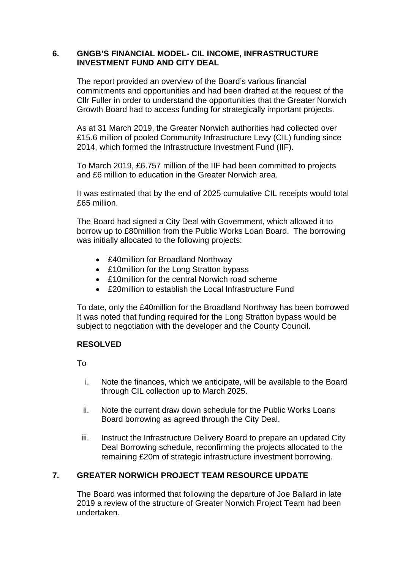#### **6. GNGB'S FINANCIAL MODEL- CIL INCOME, INFRASTRUCTURE INVESTMENT FUND AND CITY DEAL**

The report provided an overview of the Board's various financial commitments and opportunities and had been drafted at the request of the Cllr Fuller in order to understand the opportunities that the Greater Norwich Growth Board had to access funding for strategically important projects.

As at 31 March 2019, the Greater Norwich authorities had collected over £15.6 million of pooled Community Infrastructure Levy (CIL) funding since 2014, which formed the Infrastructure Investment Fund (IIF).

To March 2019, £6.757 million of the IIF had been committed to projects and £6 million to education in the Greater Norwich area.

It was estimated that by the end of 2025 cumulative CIL receipts would total £65 million.

The Board had signed a City Deal with Government, which allowed it to borrow up to £80million from the Public Works Loan Board. The borrowing was initially allocated to the following projects:

- £40million for Broadland Northway
- £10 million for the Long Stratton bypass
- £10million for the central Norwich road scheme
- £20 million to establish the Local Infrastructure Fund

To date, only the £40million for the Broadland Northway has been borrowed It was noted that funding required for the Long Stratton bypass would be subject to negotiation with the developer and the County Council.

#### **RESOLVED**

To

- i. Note the finances, which we anticipate, will be available to the Board through CIL collection up to March 2025.
- ii. Note the current draw down schedule for the Public Works Loans Board borrowing as agreed through the City Deal.
- iii. Instruct the Infrastructure Delivery Board to prepare an updated City Deal Borrowing schedule, reconfirming the projects allocated to the remaining £20m of strategic infrastructure investment borrowing.

## **7. GREATER NORWICH PROJECT TEAM RESOURCE UPDATE**

The Board was informed that following the departure of Joe Ballard in late 2019 a review of the structure of Greater Norwich Project Team had been undertaken.